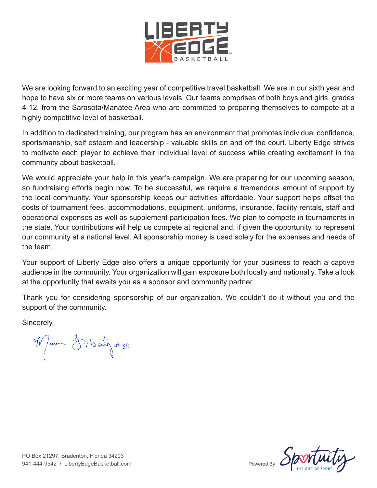

We are looking forward to an exciting year of competitive travel basketball. We are in our sixth year and hope to have six or more teams on various levels. Our teams comprises of both boys and girls, grades 4-12, from the Sarasota/Manatee Area who are committed to preparing themselves to compete at a highly competitive level of basketball.

In addition to dedicated training, our program has an environment that promotes individual confidence, sportsmanship, self esteem and leadership - valuable skills on and off the court. Liberty Edge strives to motivate each player to achieve their individual level of success while creating excitement in the community about basketball.

We would appreciate your help in this year's campaign. We are preparing for our upcoming season, so fundraising efforts begin now. To be successful, we require a tremendous amount of support by the local community. Your sponsorship keeps our activities affordable. Your support helps offset the costs of tournament fees, accommodations, equipment, uniforms, insurance, facility rentals, staff and operational expenses as well as supplement participation fees. We plan to compete in tournaments in the state. Your contributions will help us compete at regional and, if given the opportunity, to represent our community at a national level. All sponsorship money is used solely for the expenses and needs of the team.

Your support of Liberty Edge also offers a unique opportunity for your business to reach a captive audience in the community. Your organization will gain exposure both locally and nationally. Take a look at the opportunity that awaits you as a sponsor and community partner.

Thank you for considering sponsorship of our organization. We couldn't do it without you and the support of the community.

Sincerely,

Man distribution #30

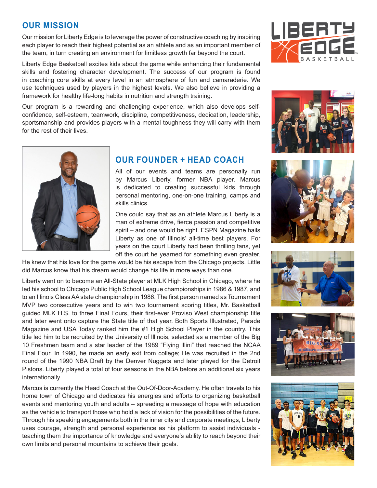### **OUR MISSION**

Our mission for Liberty Edge is to leverage the power of constructive coaching by inspiring each player to reach their highest potential as an athlete and as an important member of the team, in turn creating an environment for limitless growth far beyond the court.

Liberty Edge Basketball excites kids about the game while enhancing their fundamental skills and fostering character development. The success of our program is found in coaching core skills at every level in an atmosphere of fun and camaraderie. We use techniques used by players in the highest levels. We also believe in providing a framework for healthy life-long habits in nutrition and strength training.

Our program is a rewarding and challenging experience, which also develops selfconfidence, self-esteem, teamwork, discipline, competitiveness, dedication, leadership, sportsmanship and provides players with a mental toughness they will carry with them for the rest of their lives.



### **OUR FOUNDER + HEAD COACH**

All of our events and teams are personally run by Marcus Liberty, former NBA player. Marcus is dedicated to creating successful kids through personal mentoring, one-on-one training, camps and skills clinics.

One could say that as an athlete Marcus Liberty is a man of extreme drive, fierce passion and competitive spirit – and one would be right. ESPN Magazine hails Liberty as one of Illinois' all-time best players. For years on the court Liberty had been thrilling fans, yet off the court he yearned for something even greater.

He knew that his love for the game would be his escape from the Chicago projects. Little did Marcus know that his dream would change his life in more ways than one.

Liberty went on to become an All-State player at MLK High School in Chicago, where he led his school to Chicago Public High School League championships in 1986 & 1987, and to an Illinois Class AA state championship in 1986. The first person named as Tournament MVP two consecutive years and to win two tournament scoring titles, Mr. Basketball guided MLK H.S. to three Final Fours, their first-ever Proviso West championship title and later went onto capture the State title of that year. Both Sports Illustrated, Parade Magazine and USA Today ranked him the #1 High School Player in the country. This title led him to be recruited by the University of Illinois, selected as a member of the Big 10 Freshmen team and a star leader of the 1989 "Flying Illini" that reached the NCAA Final Four. In 1990, he made an early exit from college; He was recruited in the 2nd round of the 1990 NBA Draft by the Denver Nuggets and later played for the Detroit Pistons. Liberty played a total of four seasons in the NBA before an additional six years internationally.

Marcus is currently the Head Coach at the Out-Of-Door-Academy. He often travels to his home town of Chicago and dedicates his energies and efforts to organizing basketball events and mentoring youth and adults – spreading a message of hope with education as the vehicle to transport those who hold a lack of vision for the possibilities of the future. Through his speaking engagements both in the inner city and corporate meetings, Liberty uses courage, strength and personal experience as his platform to assist individuals teaching them the importance of knowledge and everyone's ability to reach beyond their own limits and personal mountains to achieve their goals.